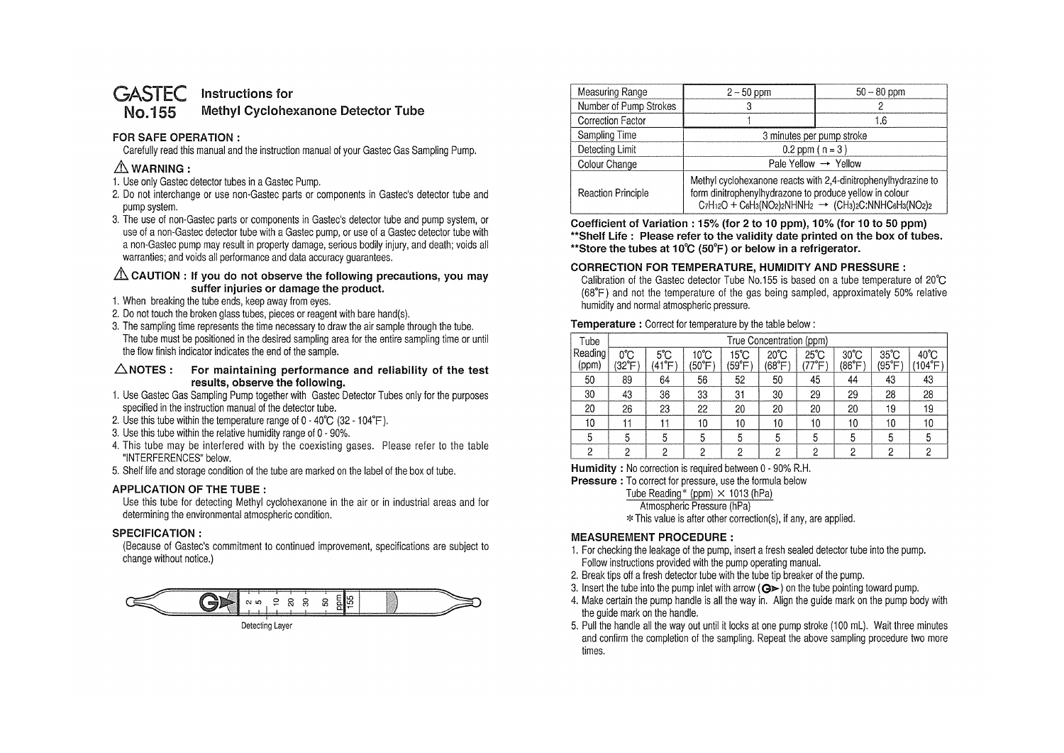#### **GASTEC No.155 Instructions for**

# **Methyl Cyclohexanone Detector Tube**

### **FOR SAFE OPERATION** :

Carefully read this manual and the instruction manual of your Gastec Gas Sampling Pump.

# $\triangle$  WARNING :

- 1. Use only Gastec detector tubes in a Gastec Pump.
- 2. Do not interchange or use non-Gastec parts or components in Gastec's detector tube and pump system.
- 3. The use of non-Gastec parts or components in Gastec's detector tube and pump system, or use of a non-Gastec detector tube with a Gastec pump, or use of a Gastec detector tube with a non-Gastec pump may result in property damage, serious bodily injury, and death; voids all warranties; and voids all performance and data accuracy guarantees.

### **EXAUTION : If you do not observe the following precautions, you may suffer injuries or damage the product.**

- 1. When breaking the tube ends, keep away from eyes.
- 2. Do not touch the broken glass tubes, pieces or reagent with bare hand(s).
- 3. The sampling time represents the time necessary to draw the air sample through the tube. The tube must be positioned in the desired sampling area for the entire sampling time or until the flow finish indicator indicates the end of the sample.

#### **.6.NOTES : For maintaining performance and reliability of the test results, observe the following.**

- 1. Use Gastec Gas Sampling Pump together with Gastec Detector Tubes only for the purposes specified in the instruction manual of the detector tube.
- 2. Use this tube within the temperature range of O 40°C (32 104°F ).
- 3. Use this tube within the relative humidity range of O 90%.
- 4. This tube may be interfered with by the coexisting gases. Please refer to the table "INTERFERENCES" below.
- 5. Shelf life and storage condition of the tube are marked on the label of the box of tube.

## **APPLICATION OF THE TUBE** :

Use this tube for detecting Methyl cyclohexanone in the air or in industrial areas and for determining the environmental atmospheric condition.

### **SPECIFICATION** :

(Because of Gastec's commitment to continued improvement, specifications are subject to change without notice.)



Measuring Range 2-50 ppm 50-80 ppm Number of Pump Strokes 3 3 2 Correction Factor 1 1.6 Sampling Time 3 minutes per pump stroke Detecting Limit  $0.2$  ppm ( n = 3 ) Colour Change  $\qquad \qquad$  |  $\qquad \qquad$  Pale Yellow  $\rightarrow$  Yellow Methyl cyclohexanone reacts with 2,4-dinitrophenylhydrazine to Reaction Principle **Form dinitrophenylhydrazone to produce yellow in colour**  $C_7H_{12}O + C_6H_3(NO_2)_2NHNH_2 \rightarrow (CH_3)_2C:NNHC_6H_3(NO_2)_2$ 

**Coefficient of Variation : 15% (for 2 to 1 O ppm), 10% (for 1 O to 50 ppm) \*\*Shelf Life : Please refer to the validity date printed on the box of tubes. \*\*Store the tubes at 10°C (50°F) or below in a refrigerator.** 

### **CORRECTION FOR TEMPERATURE, HUMIDITY AND PRESSURE:**

Calibration of the Gastec detector Tube No.155 is based on a tube temperature of 20°C (68°F) and not the temperature of the gas being sampled, approximately 50% relative humidity and normal atmospheric pressure.

### **Temperature** : Correct for temperature by the table below :

| Tube             | True Concentration (ppm) |                        |                |                |                         |                          |                          |                         |                           |
|------------------|--------------------------|------------------------|----------------|----------------|-------------------------|--------------------------|--------------------------|-------------------------|---------------------------|
| Reading<br>(ppm) | 0°C<br>$(32^{\circ}F)$   | $5^{\circ}$ C<br>(41°F | 10°C<br>(50°F) | 15°C<br>(59°F) | $20^{\circ}$ C<br>(68°F | $25^{\circ}$ C<br>'77°F' | $30^{\circ}$ C<br>(86°F) | $35^{\circ}$ C<br>(95°F | $40^{\circ}$ C<br>(104°F) |
| 50               | 89                       | 64                     | 56             | 52             | 50                      | 45                       | 44                       | 43                      | 43                        |
| 30               | 43                       | 36                     | 33             | 31             | 30                      | 29                       | 29                       | 28                      | 28                        |
| 20               | 26                       | 23                     | 22             | 20             | 20                      | 20                       | 20                       | 19                      | 19                        |
| 10               | 11                       | 11                     | 10             | 10             | 10                      | 10                       | 10                       | 10                      | 10                        |
| 5                | 5                        | 5                      | 5              | 5              | 5                       | 5                        | 5                        | 5                       | 5                         |
| 0                | c                        | ∩                      | Ω              | 2              | Ω                       | റ                        | 2                        | 2                       | ŋ                         |

**Humidity** : No correction is required between O - 90% R.H.

**Pressure** : To correct for pressure, use the formula below

Tube Reading\* (ppm)  $\times$  1013 (hPa)

Atmospheric Pressure (hPa)

\* This value is after other correction(s), if any, are applied.

## **MEASUREMENT PROCEDURE:**

- 1. For checking the leakage of the pump, insert a fresh sealed detector tube into the pump. Follow instructions provided with the pump operating manual.
- 2. Break tips off a fresh detector tube with the tube tip breaker of the pump.
- 3. Insert the tube into the pump inlet with arrow  $(Q \triangleright)$  on the tube pointing toward pump.
- 4. Make certain the pump handle is all the way in. Align the guide mark on the pump body with the guide mark on the handle.
- 5. Pull the handle all the way out until it locks at one pump stroke (100 ml). Wait three minutes and confirm the completion of the sampling. Repeat the above sampling procedure two more times.

Detecting Layer